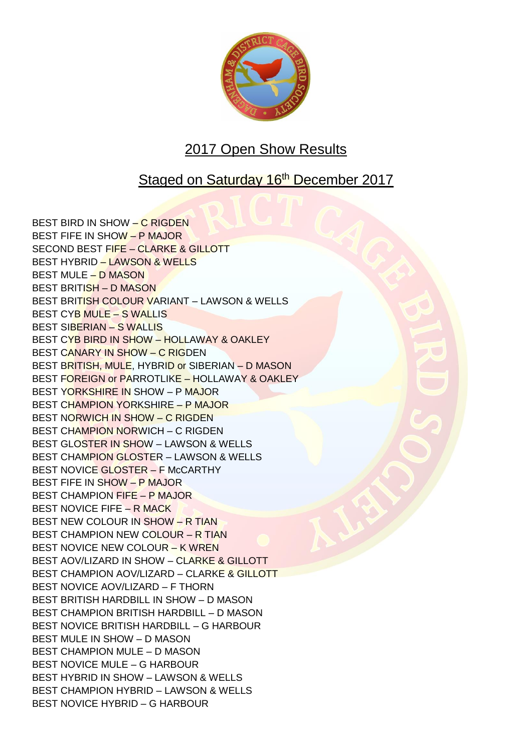

## 2017 Open Show Results

## Staged on Saturday 16<sup>th</sup> December 2017

BEST BIRD IN SHOW – C RIGDEN BEST FIFE IN SHOW – P MAJOR SECOND BEST FIFE – CLARKE & GILLOTT BEST HYBRID – LAWSON & WELLS BEST MULE – D MASON BEST BRITISH – D MASON BEST BRITISH COLOUR VARIANT – LAWSON & WELLS BEST CYB MULE – S WALLIS BEST SIBERIAN – S WALLIS BEST CYB BIRD IN SHOW – HOLLAWAY & OAKLEY BEST CANARY IN SHOW – C RIGDEN BEST BRITISH, MULE, HYBRID or SIBERIAN – D MASON BEST FOREIGN or PARROTLIKE – HOLLAWAY & OAKLEY BEST YORKSHIRE IN SHOW – P MAJOR BEST CHAMPION YORKSHIRE – P MAJOR BEST NORWICH IN SHOW – C RIGDEN BEST CHAMPION NORWICH – C RIGDEN BEST GLOSTER IN SHOW – LAWSON & WELLS BEST CHAMPION GLOSTER – LAWSON & WELLS BEST NOVICE GLOSTER - F McCARTHY BEST FIFE IN SHOW – P MAJOR BEST CHAMPION FIFE – P MAJOR BEST NOVICE FIFE – R MACK BEST NEW COLOUR IN SHOW – R TIAN BEST CHAMPION NEW COLOUR – R TIAN BEST NOVICE NEW COLOUR – K WREN BEST AOV/LIZARD IN SHOW – CLARKE & GILLOTT BEST CHAMPION AOV/LIZARD – CLARKE & GILLOTT BEST NOVICE AOV/LIZARD – F THORN BEST BRITISH HARDBILL IN SHOW – D MASON BEST CHAMPION BRITISH HARDBILL – D MASON BEST NOVICE BRITISH HARDBILL – G HARBOUR BEST MULE IN SHOW – D MASON BEST CHAMPION MULE – D MASON BEST NOVICE MULE – G HARBOUR BEST HYBRID IN SHOW – LAWSON & WELLS BEST CHAMPION HYBRID – LAWSON & WELLS BEST NOVICE HYBRID – G HARBOUR